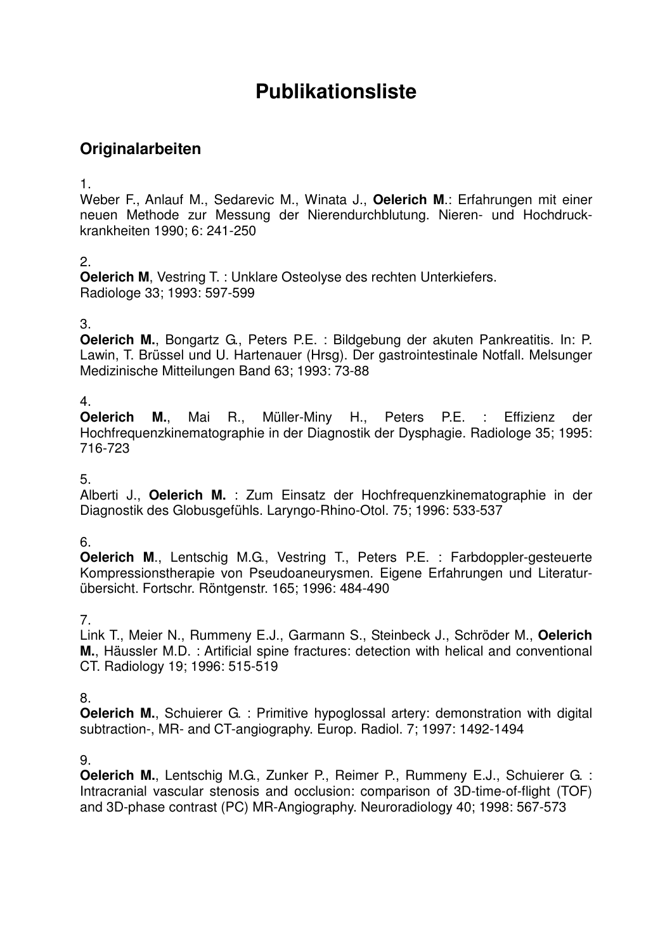# **Publikationsliste**

## **Originalarbeiten**

1.

Weber F., Anlauf M., Sedarevic M., Winata J., **Oelerich M**.: Erfahrungen mit einer neuen Methode zur Messung der Nierendurchblutung. Nieren- und Hochdruckkrankheiten 1990; 6: 241-250

## 2.

**Oelerich M**, Vestring T. : Unklare Osteolyse des rechten Unterkiefers. Radiologe 33; 1993: 597-599

## 3.

**Oelerich M.**, Bongartz G., Peters P.E. : Bildgebung der akuten Pankreatitis. In: P. Lawin, T. Brüssel und U. Hartenauer (Hrsg). Der gastrointestinale Notfall. Melsunger Medizinische Mitteilungen Band 63; 1993: 73-88

## 4.

**Oelerich M.**, Mai R., Müller-Miny H., Peters P.E. : Effizienz der Hochfrequenzkinematographie in der Diagnostik der Dysphagie. Radiologe 35; 1995: 716-723

5.

Alberti J., **Oelerich M.** : Zum Einsatz der Hochfrequenzkinematographie in der Diagnostik des Globusgefühls. Laryngo-Rhino-Otol. 75; 1996: 533-537

## 6.

**Oelerich M**., Lentschig M.G., Vestring T., Peters P.E. : Farbdoppler-gesteuerte Kompressionstherapie von Pseudoaneurysmen. Eigene Erfahrungen und Literaturübersicht. Fortschr. Röntgenstr. 165; 1996: 484-490

## 7.

Link T., Meier N., Rummeny E.J., Garmann S., Steinbeck J., Schröder M., **Oelerich M.**, Häussler M.D. : Artificial spine fractures: detection with helical and conventional CT. Radiology 19; 1996: 515-519

#### 8.

**Oelerich M.**, Schuierer G. : Primitive hypoglossal artery: demonstration with digital subtraction-, MR- and CT-angiography. Europ. Radiol. 7; 1997: 1492-1494

#### 9.

**Oelerich M.**, Lentschig M.G., Zunker P., Reimer P., Rummeny E.J., Schuierer G. : Intracranial vascular stenosis and occlusion: comparison of 3D-time-of-flight (TOF) and 3D-phase contrast (PC) MR-Angiography. Neuroradiology 40; 1998: 567-573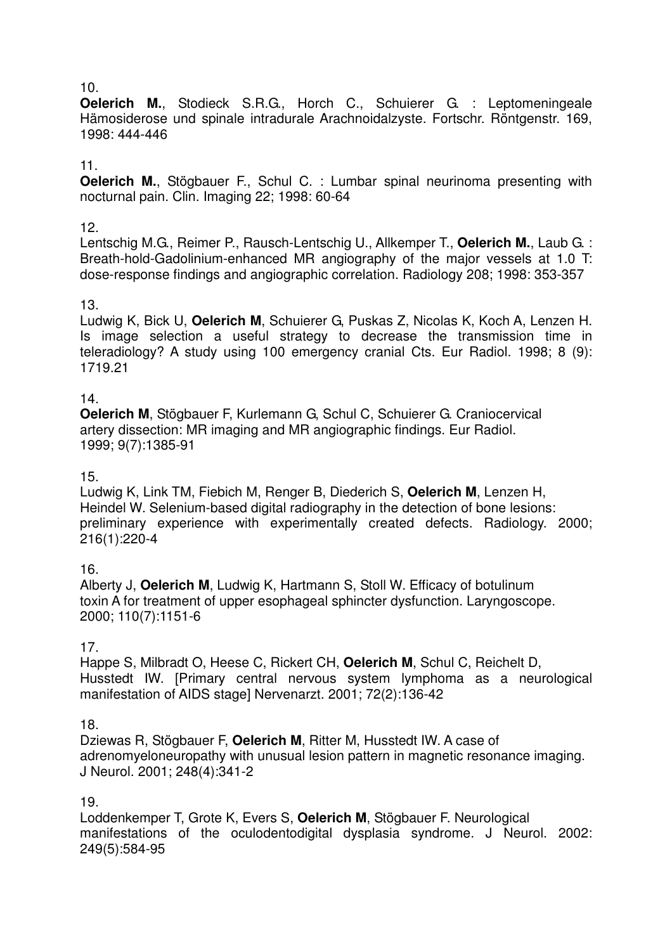#### 10.

**Oelerich M.**, Stodieck S.R.G., Horch C., Schuierer G. : Leptomeningeale Hämosiderose und spinale intradurale Arachnoidalzyste. Fortschr. Röntgenstr. 169, 1998: 444-446

#### 11.

**Oelerich M.**, Stögbauer F., Schul C. : Lumbar spinal neurinoma presenting with nocturnal pain. Clin. Imaging 22; 1998: 60-64

#### 12.

Lentschig M.G., Reimer P., Rausch-Lentschig U., Allkemper T., **Oelerich M.**, Laub G. : Breath-hold-Gadolinium-enhanced MR angiography of the major vessels at 1.0 T: dose-response findings and angiographic correlation. Radiology 208; 1998: 353-357

#### 13.

Ludwig K, Bick U, **Oelerich M**, Schuierer G, Puskas Z, Nicolas K, Koch A, Lenzen H. Is image selection a useful strategy to decrease the transmission time in teleradiology? A study using 100 emergency cranial Cts. Eur Radiol. 1998; 8 (9): 1719.21

#### 14.

**Oelerich M**, Stögbauer F, Kurlemann G, Schul C, Schuierer G. Craniocervical artery dissection: MR imaging and MR angiographic findings. Eur Radiol. 1999; 9(7):1385-91

#### 15.

Ludwig K, Link TM, Fiebich M, Renger B, Diederich S, **Oelerich M**, Lenzen H, Heindel W. Selenium-based digital radiography in the detection of bone lesions: preliminary experience with experimentally created defects. Radiology. 2000; 216(1):220-4

#### 16.

Alberty J, **Oelerich M**, Ludwig K, Hartmann S, Stoll W. Efficacy of botulinum toxin A for treatment of upper esophageal sphincter dysfunction. Laryngoscope. 2000; 110(7):1151-6

#### 17.

Happe S, Milbradt O, Heese C, Rickert CH, **Oelerich M**, Schul C, Reichelt D, Husstedt IW. [Primary central nervous system lymphoma as a neurological manifestation of AIDS stage] Nervenarzt. 2001; 72(2):136-42

#### 18.

Dziewas R, Stögbauer F, **Oelerich M**, Ritter M, Husstedt IW. A case of adrenomyeloneuropathy with unusual lesion pattern in magnetic resonance imaging. J Neurol. 2001; 248(4):341-2

#### 19.

Loddenkemper T, Grote K, Evers S, **Oelerich M**, Stögbauer F. Neurological manifestations of the oculodentodigital dysplasia syndrome. J Neurol. 2002: 249(5):584-95